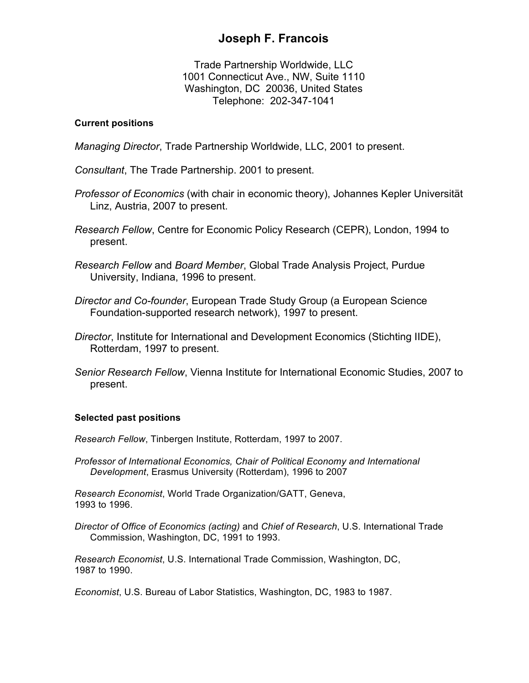# **Joseph F. Francois**

Trade Partnership Worldwide, LLC 1001 Connecticut Ave., NW, Suite 1110 Washington, DC 20036, United States Telephone: 202-347-1041

# **Current positions**

*Managing Director*, Trade Partnership Worldwide, LLC, 2001 to present.

*Consultant*, The Trade Partnership. 2001 to present.

- *Professor of Economics* (with chair in economic theory), Johannes Kepler Universität Linz, Austria, 2007 to present.
- *Research Fellow*, Centre for Economic Policy Research (CEPR), London, 1994 to present.
- *Research Fellow* and *Board Member*, Global Trade Analysis Project, Purdue University, Indiana, 1996 to present.
- *Director and Co-founder*, European Trade Study Group (a European Science Foundation-supported research network), 1997 to present.
- *Director*, Institute for International and Development Economics (Stichting IIDE), Rotterdam, 1997 to present.
- *Senior Research Fellow*, Vienna Institute for International Economic Studies, 2007 to present.

# **Selected past positions**

*Research Fellow*, Tinbergen Institute, Rotterdam, 1997 to 2007.

*Professor of International Economics, Chair of Political Economy and International Development*, Erasmus University (Rotterdam), 1996 to 2007

*Research Economist*, World Trade Organization/GATT, Geneva, 1993 to 1996.

*Director of Office of Economics (acting)* and *Chief of Research*, U.S. International Trade Commission, Washington, DC, 1991 to 1993.

*Research Economist*, U.S. International Trade Commission, Washington, DC, 1987 to 1990.

*Economist*, U.S. Bureau of Labor Statistics, Washington, DC, 1983 to 1987.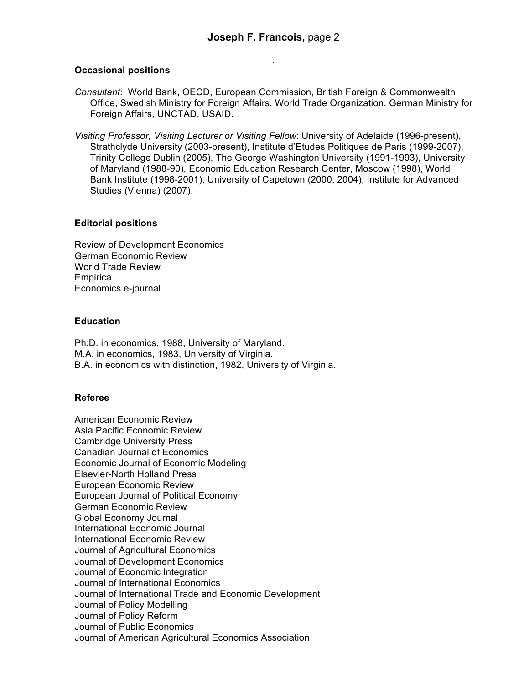## **Occasional positions**

- *Consultant*: World Bank, OECD, European Commission, British Foreign & Commonwealth Office, Swedish Ministry for Foreign Affairs, World Trade Organization, German Ministry for Foreign Affairs, UNCTAD, USAID.
- *Visiting Professor, Visiting Lecturer or Visiting Fellow*: University of Adelaide (1996-present), Strathclyde University (2003-present), Institute d'Etudes Politiques de Paris (1999-2007), Trinity College Dublin (2005), The George Washington University (1991-1993), University of Maryland (1988-90), Economic Education Research Center, Moscow (1998), World Bank Institute (1998-2001), University of Capetown (2000, 2004), Institute for Advanced Studies (Vienna) (2007).

# **Editorial positions**

Review of Development Economics German Economic Review World Trade Review **Empirica** Economics e-journal

# **Education**

Ph.D. in economics, 1988, University of Maryland. M.A. in economics, 1983, University of Virginia. B.A. in economics with distinction, 1982, University of Virginia.

# **Referee**

American Economic Review Asia Pacific Economic Review Cambridge University Press Canadian Journal of Economics Economic Journal of Economic Modeling Elsevier-North Holland Press European Economic Review European Journal of Political Economy German Economic Review Global Economy Journal International Economic Journal International Economic Review Journal of Agricultural Economics Journal of Development Economics Journal of Economic Integration Journal of International Economics Journal of International Trade and Economic Development Journal of Policy Modelling Journal of Policy Reform Journal of Public Economics Journal of American Agricultural Economics Association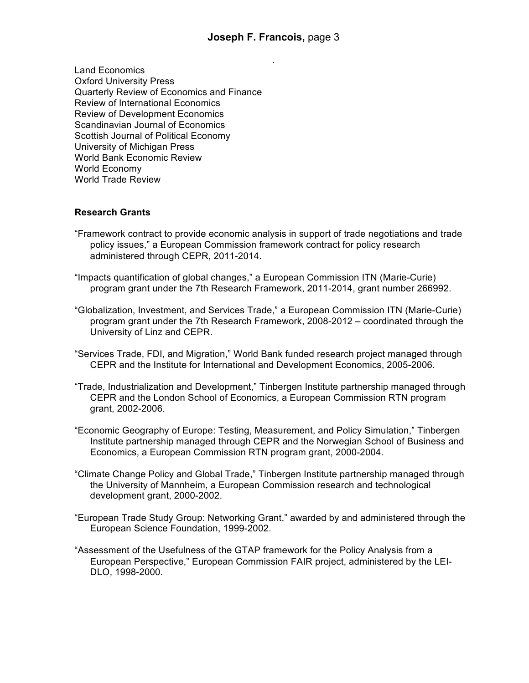Land Economics Oxford University Press Quarterly Review of Economics and Finance Review of International Economics Review of Development Economics Scandinavian Journal of Economics Scottish Journal of Political Economy University of Michigan Press World Bank Economic Review World Economy World Trade Review

# **Research Grants**

- "Framework contract to provide economic analysis in support of trade negotiations and trade policy issues," a European Commission framework contract for policy research administered through CEPR, 2011-2014.
- "Impacts quantification of global changes," a European Commission ITN (Marie-Curie) program grant under the 7th Research Framework, 2011-2014, grant number 266992.
- "Globalization, Investment, and Services Trade," a European Commission ITN (Marie-Curie) program grant under the 7th Research Framework, 2008-2012 – coordinated through the University of Linz and CEPR.
- "Services Trade, FDI, and Migration," World Bank funded research project managed through CEPR and the Institute for International and Development Economics, 2005-2006.
- "Trade, Industrialization and Development," Tinbergen Institute partnership managed through CEPR and the London School of Economics, a European Commission RTN program grant, 2002-2006.
- "Economic Geography of Europe: Testing, Measurement, and Policy Simulation," Tinbergen Institute partnership managed through CEPR and the Norwegian School of Business and Economics, a European Commission RTN program grant, 2000-2004.
- "Climate Change Policy and Global Trade," Tinbergen Institute partnership managed through the University of Mannheim, a European Commission research and technological development grant, 2000-2002.
- "European Trade Study Group: Networking Grant," awarded by and administered through the European Science Foundation, 1999-2002.
- "Assessment of the Usefulness of the GTAP framework for the Policy Analysis from a European Perspective," European Commission FAIR project, administered by the LEI-DLO, 1998-2000.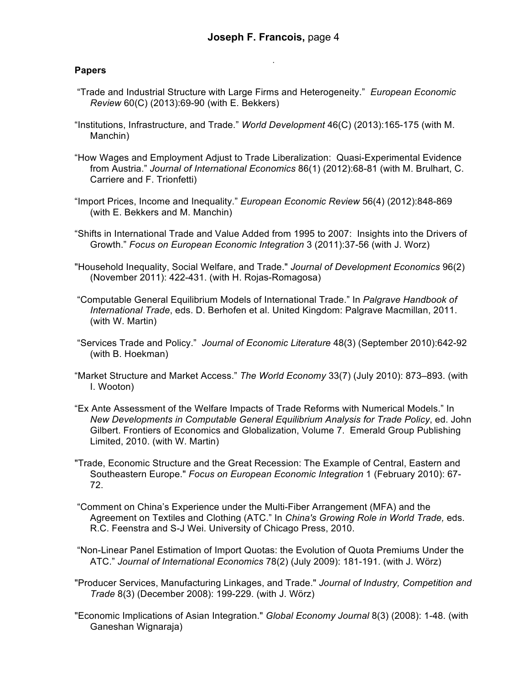# **Papers**

- "Trade and Industrial Structure with Large Firms and Heterogeneity." *European Economic Review* 60(C) (2013):69-90 (with E. Bekkers)
- "Institutions, Infrastructure, and Trade." *World Development* 46(C) (2013):165-175 (with M. Manchin)
- "How Wages and Employment Adjust to Trade Liberalization: Quasi-Experimental Evidence from Austria." *Journal of International Economics* 86(1) (2012):68-81 (with M. Brulhart, C. Carriere and F. Trionfetti)
- "Import Prices, Income and Inequality." *European Economic Review* 56(4) (2012):848-869 (with E. Bekkers and M. Manchin)
- "Shifts in International Trade and Value Added from 1995 to 2007: Insights into the Drivers of Growth." *Focus on European Economic Integration* 3 (2011):37-56 (with J. Worz)
- "Household Inequality, Social Welfare, and Trade." *Journal of Development Economics* 96(2) (November 2011): 422-431. (with H. Rojas-Romagosa)
- "Computable General Equilibrium Models of International Trade." In *Palgrave Handbook of International Trade*, eds. D. Berhofen et al. United Kingdom: Palgrave Macmillan, 2011. (with W. Martin)
- "Services Trade and Policy." *Journal of Economic Literature* 48(3) (September 2010):642-92 (with B. Hoekman)
- "Market Structure and Market Access." *The World Economy* 33(7) (July 2010): 873–893. (with I. Wooton)
- "Ex Ante Assessment of the Welfare Impacts of Trade Reforms with Numerical Models." In *New Developments in Computable General Equilibrium Analysis for Trade Policy*, ed. John Gilbert. Frontiers of Economics and Globalization, Volume 7. Emerald Group Publishing Limited, 2010. (with W. Martin)
- "Trade, Economic Structure and the Great Recession: The Example of Central, Eastern and Southeastern Europe." *Focus on European Economic Integration* 1 (February 2010): 67- 72.
- "Comment on China's Experience under the Multi-Fiber Arrangement (MFA) and the Agreement on Textiles and Clothing (ATC." In *China's Growing Role in World Trade,* eds. R.C. Feenstra and S-J Wei. University of Chicago Press, 2010.
- "Non-Linear Panel Estimation of Import Quotas: the Evolution of Quota Premiums Under the ATC." *Journal of International Economics* 78(2) (July 2009): 181-191. (with J. Wörz)
- "Producer Services, Manufacturing Linkages, and Trade." *Journal of Industry, Competition and Trade* 8(3) (December 2008): 199-229. (with J. Wörz)
- "Economic Implications of Asian Integration." *Global Economy Journal* 8(3) (2008): 1-48. (with Ganeshan Wignaraja)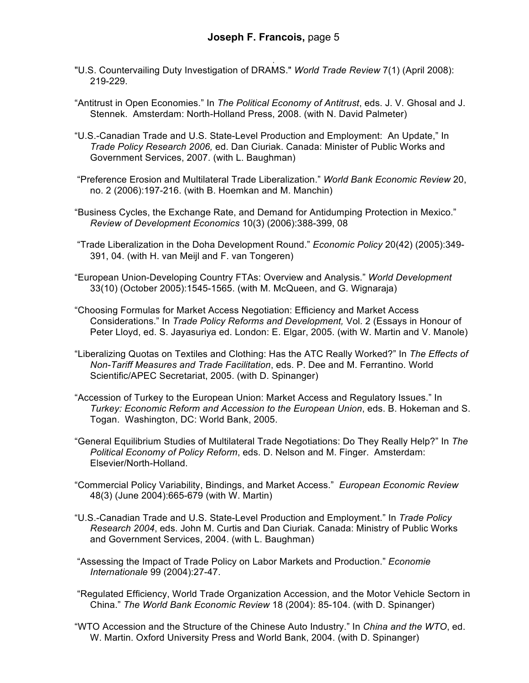- . "U.S. Countervailing Duty Investigation of DRAMS." *World Trade Review* 7(1) (April 2008): 219-229.
- "Antitrust in Open Economies." In *The Political Economy of Antitrust*, eds. J. V. Ghosal and J. Stennek. Amsterdam: North-Holland Press, 2008. (with N. David Palmeter)
- "U.S.-Canadian Trade and U.S. State-Level Production and Employment: An Update," In *Trade Policy Research 2006,* ed. Dan Ciuriak. Canada: Minister of Public Works and Government Services, 2007. (with L. Baughman)
- "Preference Erosion and Multilateral Trade Liberalization." *World Bank Economic Review* 20, no. 2 (2006):197-216. (with B. Hoemkan and M. Manchin)
- "Business Cycles, the Exchange Rate, and Demand for Antidumping Protection in Mexico." *Review of Development Economics* 10(3) (2006):388-399, 08
- "Trade Liberalization in the Doha Development Round." *Economic Policy* 20(42) (2005):349- 391, 04. (with H. van Meijl and F. van Tongeren)
- "European Union-Developing Country FTAs: Overview and Analysis." *World Development* 33(10) (October 2005):1545-1565. (with M. McQueen, and G. Wignaraja)
- "Choosing Formulas for Market Access Negotiation: Efficiency and Market Access Considerations." In *Trade Policy Reforms and Development,* Vol. 2 (Essays in Honour of Peter Lloyd, ed. S. Jayasuriya ed. London: E. Elgar, 2005. (with W. Martin and V. Manole)
- "Liberalizing Quotas on Textiles and Clothing: Has the ATC Really Worked?" In *The Effects of Non-Tariff Measures and Trade Facilitation*, eds. P. Dee and M. Ferrantino. World Scientific/APEC Secretariat, 2005. (with D. Spinanger)
- "Accession of Turkey to the European Union: Market Access and Regulatory Issues." In *Turkey: Economic Reform and Accession to the European Union*, eds. B. Hokeman and S. Togan. Washington, DC: World Bank, 2005.
- "General Equilibrium Studies of Multilateral Trade Negotiations: Do They Really Help?" In *The Political Economy of Policy Reform*, eds. D. Nelson and M. Finger. Amsterdam: Elsevier/North-Holland.
- "Commercial Policy Variability, Bindings, and Market Access." *European Economic Review* 48(3) (June 2004):665-679 (with W. Martin)
- "U.S.-Canadian Trade and U.S. State-Level Production and Employment." In *Trade Policy Research 2004*, eds. John M. Curtis and Dan Ciuriak. Canada: Ministry of Public Works and Government Services, 2004. (with L. Baughman)
- "Assessing the Impact of Trade Policy on Labor Markets and Production." *Economie Internationale* 99 (2004):27-47.
- "Regulated Efficiency, World Trade Organization Accession, and the Motor Vehicle Sectorn in China." *The World Bank Economic Review* 18 (2004): 85-104. (with D. Spinanger)
- "WTO Accession and the Structure of the Chinese Auto Industry." In *China and the WTO*, ed. W. Martin. Oxford University Press and World Bank, 2004. (with D. Spinanger)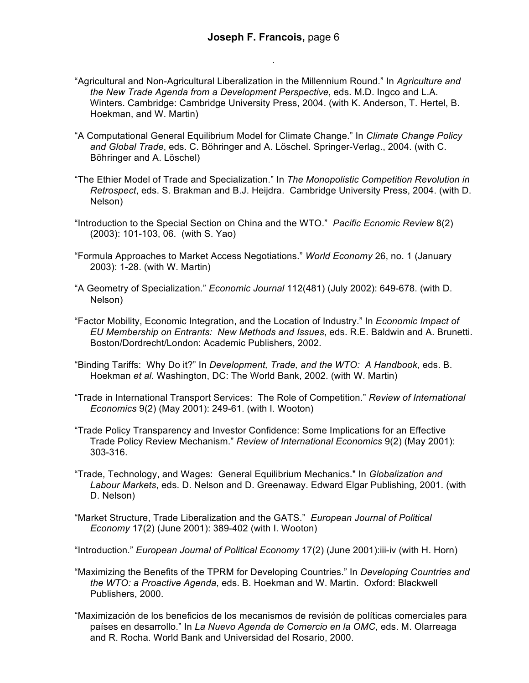- "Agricultural and Non-Agricultural Liberalization in the Millennium Round." In *Agriculture and the New Trade Agenda from a Development Perspective*, eds. M.D. Ingco and L.A. Winters. Cambridge: Cambridge University Press, 2004. (with K. Anderson, T. Hertel, B. Hoekman, and W. Martin)
- "A Computational General Equilibrium Model for Climate Change." In *Climate Change Policy and Global Trade*, eds. C. Böhringer and A. Löschel. Springer-Verlag., 2004. (with C. Böhringer and A. Löschel)
- "The Ethier Model of Trade and Specialization." In *The Monopolistic Competition Revolution in Retrospect*, eds. S. Brakman and B.J. Heijdra. Cambridge University Press, 2004. (with D. Nelson)
- "Introduction to the Special Section on China and the WTO." *Pacific Ecnomic Review* 8(2) (2003): 101-103, 06. (with S. Yao)
- "Formula Approaches to Market Access Negotiations." *World Economy* 26, no. 1 (January 2003): 1-28. (with W. Martin)
- "A Geometry of Specialization." *Economic Journal* 112(481) (July 2002): 649-678. (with D. Nelson)
- "Factor Mobility, Economic Integration, and the Location of Industry." In *Economic Impact of EU Membership on Entrants: New Methods and Issues*, eds. R.E. Baldwin and A. Brunetti. Boston/Dordrecht/London: Academic Publishers, 2002.
- "Binding Tariffs: Why Do it?" In *Development, Trade, and the WTO: A Handbook*, eds. B. Hoekman *et al*. Washington, DC: The World Bank, 2002. (with W. Martin)
- "Trade in International Transport Services: The Role of Competition." *Review of International Economics* 9(2) (May 2001): 249-61. (with I. Wooton)
- "Trade Policy Transparency and Investor Confidence: Some Implications for an Effective Trade Policy Review Mechanism." *Review of International Economics* 9(2) (May 2001): 303-316.
- "Trade, Technology, and Wages: General Equilibrium Mechanics." In *Globalization and Labour Markets*, eds. D. Nelson and D. Greenaway. Edward Elgar Publishing, 2001. (with D. Nelson)
- "Market Structure, Trade Liberalization and the GATS." *European Journal of Political Economy* 17(2) (June 2001): 389-402 (with I. Wooton)
- "Introduction." *European Journal of Political Economy* 17(2) (June 2001):iii-iv (with H. Horn)
- "Maximizing the Benefits of the TPRM for Developing Countries." In *Developing Countries and the WTO: a Proactive Agenda*, eds. B. Hoekman and W. Martin. Oxford: Blackwell Publishers, 2000.
- "Maximización de los beneficios de los mecanismos de revisión de políticas comerciales para países en desarrollo." In *La Nuevo Agenda de Comercio en la OMC*, eds. M. Olarreaga and R. Rocha. World Bank and Universidad del Rosario, 2000.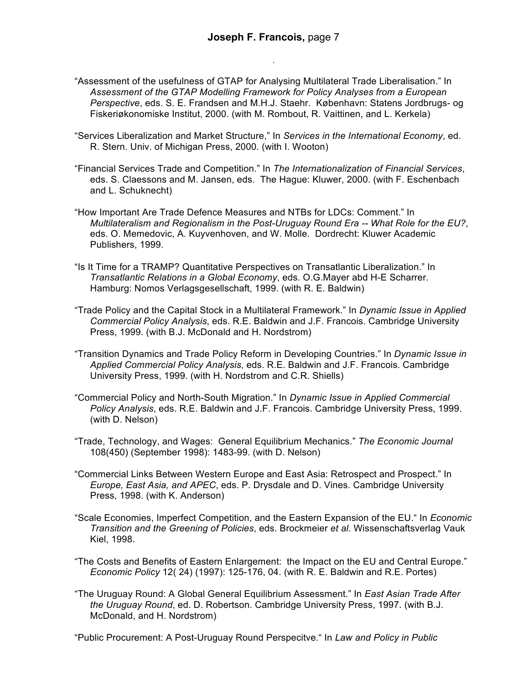- "Assessment of the usefulness of GTAP for Analysing Multilateral Trade Liberalisation." In *Assessment of the GTAP Modelling Framework for Policy Analyses from a European Perspective*, eds. S. E. Frandsen and M.H.J. Staehr. København: Statens Jordbrugs- og Fiskeriøkonomiske Institut, 2000. (with M. Rombout, R. Vaittinen, and L. Kerkela)
- "Services Liberalization and Market Structure," In *Services in the International Economy*, ed. R. Stern. Univ. of Michigan Press, 2000. (with I. Wooton)
- "Financial Services Trade and Competition." In *The Internationalization of Financial Services*, eds. S. Claessons and M. Jansen, eds. The Hague: Kluwer, 2000. (with F. Eschenbach and L. Schuknecht)
- "How Important Are Trade Defence Measures and NTBs for LDCs: Comment." In *Multilateralism and Regionalism in the Post-Uruguay Round Era -- What Role for the EU?*, eds. O. Memedovic, A. Kuyvenhoven, and W. Molle. Dordrecht: Kluwer Academic Publishers, 1999.
- "Is It Time for a TRAMP? Quantitative Perspectives on Transatlantic Liberalization." In *Transatlantic Relations in a Global Economy*, eds. O.G.Mayer abd H-E Scharrer. Hamburg: Nomos Verlagsgesellschaft, 1999. (with R. E. Baldwin)
- "Trade Policy and the Capital Stock in a Multilateral Framework." In *Dynamic Issue in Applied Commercial Policy Analysis*, eds. R.E. Baldwin and J.F. Francois. Cambridge University Press, 1999. (with B.J. McDonald and H. Nordstrom)
- "Transition Dynamics and Trade Policy Reform in Developing Countries." In *Dynamic Issue in Applied Commercial Policy Analysis*, eds. R.E. Baldwin and J.F. Francois. Cambridge University Press, 1999. (with H. Nordstrom and C.R. Shiells)
- "Commercial Policy and North-South Migration." In *Dynamic Issue in Applied Commercial Policy Analysis*, eds. R.E. Baldwin and J.F. Francois. Cambridge University Press, 1999. (with D. Nelson)
- "Trade, Technology, and Wages: General Equilibrium Mechanics." *The Economic Journal* 108(450) (September 1998): 1483-99. (with D. Nelson)
- "Commercial Links Between Western Europe and East Asia: Retrospect and Prospect." In *Europe, East Asia, and APEC*, eds. P. Drysdale and D. Vines. Cambridge University Press, 1998. (with K. Anderson)
- "Scale Economies, Imperfect Competition, and the Eastern Expansion of the EU." In *Economic Transition and the Greening of Policies*, eds. Brockmeier *et al*. Wissenschaftsverlag Vauk Kiel, 1998.
- "The Costs and Benefits of Eastern Enlargement: the Impact on the EU and Central Europe." *Economic Policy* 12( 24) (1997): 125-176, 04. (with R. E. Baldwin and R.E. Portes)
- "The Uruguay Round: A Global General Equilibrium Assessment." In *East Asian Trade After the Uruguay Round*, ed. D. Robertson. Cambridge University Press, 1997. (with B.J. McDonald, and H. Nordstrom)

"Public Procurement: A Post-Uruguay Round Perspecitve." In *Law and Policy in Public*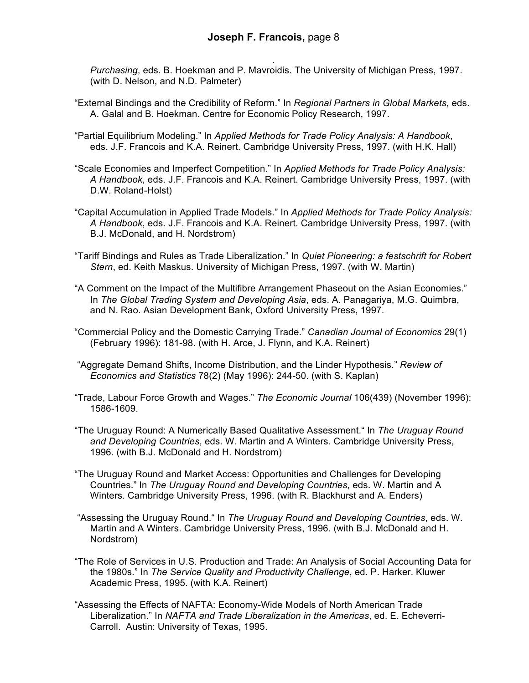. *Purchasing*, eds. B. Hoekman and P. Mavroidis. The University of Michigan Press, 1997. (with D. Nelson, and N.D. Palmeter)

- "External Bindings and the Credibility of Reform." In *Regional Partners in Global Markets*, eds. A. Galal and B. Hoekman. Centre for Economic Policy Research, 1997.
- "Partial Equilibrium Modeling." In *Applied Methods for Trade Policy Analysis: A Handbook*, eds. J.F. Francois and K.A. Reinert. Cambridge University Press, 1997. (with H.K. Hall)
- "Scale Economies and Imperfect Competition." In *Applied Methods for Trade Policy Analysis: A Handbook*, eds. J.F. Francois and K.A. Reinert. Cambridge University Press, 1997. (with D.W. Roland-Holst)
- "Capital Accumulation in Applied Trade Models." In *Applied Methods for Trade Policy Analysis: A Handbook*, eds. J.F. Francois and K.A. Reinert. Cambridge University Press, 1997. (with B.J. McDonald, and H. Nordstrom)
- "Tariff Bindings and Rules as Trade Liberalization." In *Quiet Pioneering: a festschrift for Robert Stern*, ed. Keith Maskus. University of Michigan Press, 1997. (with W. Martin)
- "A Comment on the Impact of the Multifibre Arrangement Phaseout on the Asian Economies." In *The Global Trading System and Developing Asia*, eds. A. Panagariya, M.G. Quimbra, and N. Rao. Asian Development Bank, Oxford University Press, 1997.
- "Commercial Policy and the Domestic Carrying Trade." *Canadian Journal of Economics* 29(1) (February 1996): 181-98. (with H. Arce, J. Flynn, and K.A. Reinert)
- "Aggregate Demand Shifts, Income Distribution, and the Linder Hypothesis." *Review of Economics and Statistics* 78(2) (May 1996): 244-50. (with S. Kaplan)
- "Trade, Labour Force Growth and Wages." *The Economic Journal* 106(439) (November 1996): 1586-1609.
- "The Uruguay Round: A Numerically Based Qualitative Assessment." In *The Uruguay Round and Developing Countries*, eds. W. Martin and A Winters. Cambridge University Press, 1996. (with B.J. McDonald and H. Nordstrom)
- "The Uruguay Round and Market Access: Opportunities and Challenges for Developing Countries." In *The Uruguay Round and Developing Countries*, eds. W. Martin and A Winters. Cambridge University Press, 1996. (with R. Blackhurst and A. Enders)
- "Assessing the Uruguay Round." In *The Uruguay Round and Developing Countries*, eds. W. Martin and A Winters. Cambridge University Press, 1996. (with B.J. McDonald and H. Nordstrom)
- "The Role of Services in U.S. Production and Trade: An Analysis of Social Accounting Data for the 1980s." In *The Service Quality and Productivity Challenge*, ed. P. Harker. Kluwer Academic Press, 1995. (with K.A. Reinert)
- "Assessing the Effects of NAFTA: Economy-Wide Models of North American Trade Liberalization." In *NAFTA and Trade Liberalization in the Americas*, ed. E. Echeverri-Carroll. Austin: University of Texas, 1995.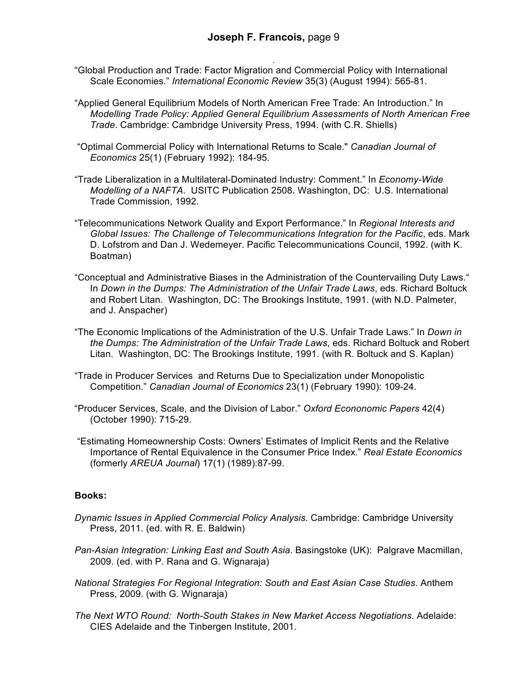- . "Global Production and Trade: Factor Migration and Commercial Policy with International Scale Economies." *International Economic Review* 35(3) (August 1994): 565-81.
- "Applied General Equilibrium Models of North American Free Trade: An Introduction." In *Modelling Trade Policy: Applied General Equilibrium Assessments of North American Free Trade*. Cambridge: Cambridge University Press, 1994. (with C.R. Shiells)
- "Optimal Commercial Policy with International Returns to Scale." *Canadian Journal of Economics* 25(1) (February 1992): 184-95.
- "Trade Liberalization in a Multilateral-Dominated Industry: Comment." In *Economy-Wide Modelling of a NAFTA*. USITC Publication 2508. Washington, DC: U.S. International Trade Commission, 1992.
- "Telecommunications Network Quality and Export Performance." In *Regional Interests and Global Issues: The Challenge of Telecommunications Integration for the Pacific*, eds. Mark D. Lofstrom and Dan J. Wedemeyer. Pacific Telecommunications Council, 1992. (with K. Boatman)
- "Conceptual and Administrative Biases in the Administration of the Countervailing Duty Laws." In *Down in the Dumps: The Administration of the Unfair Trade Laws*, eds. Richard Boltuck and Robert Litan. Washington, DC: The Brookings Institute, 1991. (with N.D. Palmeter, and J. Anspacher)
- "The Economic Implications of the Administration of the U.S. Unfair Trade Laws." In *Down in the Dumps: The Administration of the Unfair Trade Laws*, eds. Richard Boltuck and Robert Litan. Washington, DC: The Brookings Institute, 1991. (with R. Boltuck and S. Kaplan)
- "Trade in Producer Services and Returns Due to Specialization under Monopolistic Competition." *Canadian Journal of Economics* 23(1) (February 1990): 109-24.
- "Producer Services, Scale, and the Division of Labor." *Oxford Econonomic Papers* 42(4) (October 1990): 715-29.
- "Estimating Homeownership Costs: Owners' Estimates of Implicit Rents and the Relative Importance of Rental Equivalence in the Consumer Price Index." *Real Estate Economics*  (formerly *AREUA Journal*) 17(1) (1989):87-99.

#### **Books:**

- *Dynamic Issues in Applied Commercial Policy Analysis*. Cambridge: Cambridge University Press, 2011. (ed. with R. E. Baldwin)
- *Pan-Asian Integration: Linking East and South Asia*. Basingstoke (UK): Palgrave Macmillan, 2009. (ed. with P. Rana and G. Wignaraja)
- *National Strategies For Regional Integration: South and East Asian Case Studies*. Anthem Press, 2009. (with G. Wignaraja)
- *The Next WTO Round: North-South Stakes in New Market Access Negotiations*. Adelaide: CIES Adelaide and the Tinbergen Institute, 2001.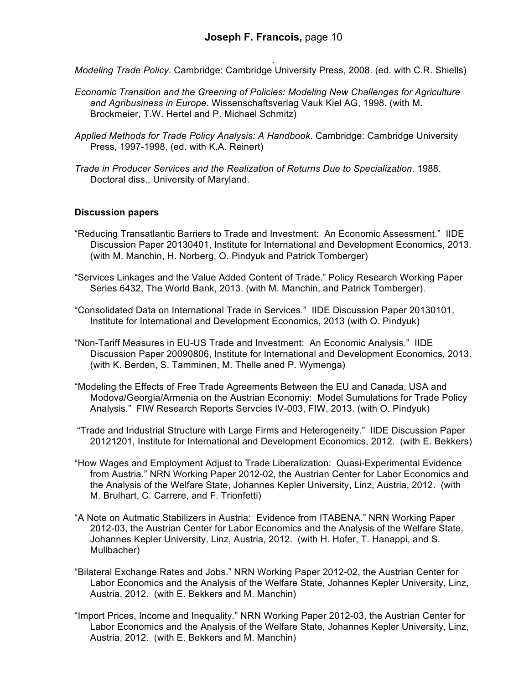. *Modeling Trade Policy*. Cambridge: Cambridge University Press, 2008. (ed. with C.R. Shiells)

- *Economic Transition and the Greening of Policies: Modeling New Challenges for Agriculture and Agribusiness in Europe*. Wissenschaftsverlag Vauk Kiel AG, 1998. (with M. Brockmeier, T.W. Hertel and P. Michael Schmitz)
- *Applied Methods for Trade Policy Analysis: A Handbook*. Cambridge: Cambridge University Press, 1997-1998. (ed. with K.A. Reinert)
- *Trade in Producer Services and the Realization of Returns Due to Specialization*. 1988. Doctoral diss., University of Maryland.

#### **Discussion papers**

- "Reducing Transatlantic Barriers to Trade and Investment: An Economic Assessment." IIDE Discussion Paper 20130401, Institute for International and Development Economics, 2013. (with M. Manchin, H. Norberg, O. Pindyuk and Patrick Tomberger)
- "Services Linkages and the Value Added Content of Trade." Policy Research Working Paper Series 6432, The World Bank, 2013. (with M. Manchin, and Patrick Tomberger).
- "Consolidated Data on International Trade in Services." IIDE Discussion Paper 20130101, Institute for International and Development Economics, 2013 (with O. Pindyuk)
- "Non-Tariff Measures in EU-US Trade and Investment: An Economic Analysis." IIDE Discussion Paper 20090806, Institute for International and Development Economics, 2013. (with K. Berden, S. Tamminen, M. Thelle aned P. Wymenga)
- "Modeling the Effects of Free Trade Agreements Between the EU and Canada, USA and Modova/Georgia/Armenia on the Austrian Economiy: Model Sumulations for Trade Policy Analysis." FIW Research Reports Servcies IV-003, FIW, 2013. (with O. Pindyuk)
- "Trade and Industrial Structure with Large Firms and Heterogeneity." IIDE Discussion Paper 20121201, Institute for International and Development Economics, 2012. (with E. Bekkers)
- "How Wages and Employment Adjust to Trade Liberalization: Quasi-Experimental Evidence from Austria." NRN Working Paper 2012-02, the Austrian Center for Labor Economics and the Analysis of the Welfare State, Johannes Kepler University, Linz, Austria, 2012. (with M. Brulhart, C. Carrere, and F. Trionfetti)
- "A Note on Autmatic Stabilizers in Austria: Evidence from ITABENA." NRN Working Paper 2012-03, the Austrian Center for Labor Economics and the Analysis of the Welfare State, Johannes Kepler University, Linz, Austria, 2012. (with H. Hofer, T. Hanappi, and S. Mullbacher)
- "Bilateral Exchange Rates and Jobs." NRN Working Paper 2012-02, the Austrian Center for Labor Economics and the Analysis of the Welfare State, Johannes Kepler University, Linz, Austria, 2012. (with E. Bekkers and M. Manchin)
- "Import Prices, Income and Inequality." NRN Working Paper 2012-03, the Austrian Center for Labor Economics and the Analysis of the Welfare State, Johannes Kepler University, Linz, Austria, 2012. (with E. Bekkers and M. Manchin)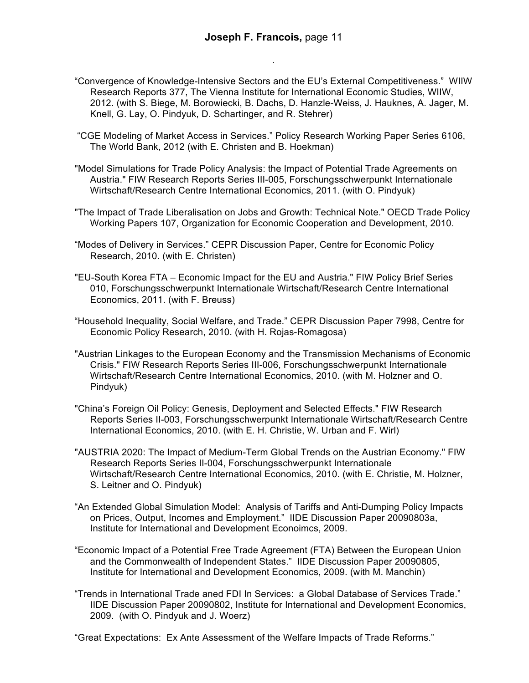- "Convergence of Knowledge-Intensive Sectors and the EU's External Competitiveness." WIIW Research Reports 377, The Vienna Institute for International Economic Studies, WIIW, 2012. (with S. Biege, M. Borowiecki, B. Dachs, D. Hanzle-Weiss, J. Hauknes, A. Jager, M. Knell, G. Lay, O. Pindyuk, D. Schartinger, and R. Stehrer)
- "CGE Modeling of Market Access in Services." Policy Research Working Paper Series 6106, The World Bank, 2012 (with E. Christen and B. Hoekman)
- "Model Simulations for Trade Policy Analysis: the Impact of Potential Trade Agreements on Austria." FIW Research Reports Series III-005, Forschungsschwerpunkt Internationale Wirtschaft/Research Centre International Economics, 2011. (with O. Pindyuk)
- "The Impact of Trade Liberalisation on Jobs and Growth: Technical Note." OECD Trade Policy Working Papers 107, Organization for Economic Cooperation and Development, 2010.
- "Modes of Delivery in Services." CEPR Discussion Paper, Centre for Economic Policy Research, 2010. (with E. Christen)
- "EU-South Korea FTA Economic Impact for the EU and Austria." FIW Policy Brief Series 010, Forschungsschwerpunkt Internationale Wirtschaft/Research Centre International Economics, 2011. (with F. Breuss)
- "Household Inequality, Social Welfare, and Trade." CEPR Discussion Paper 7998, Centre for Economic Policy Research, 2010. (with H. Rojas-Romagosa)
- "Austrian Linkages to the European Economy and the Transmission Mechanisms of Economic Crisis." FIW Research Reports Series III-006, Forschungsschwerpunkt Internationale Wirtschaft/Research Centre International Economics, 2010. (with M. Holzner and O. Pindyuk)
- "China's Foreign Oil Policy: Genesis, Deployment and Selected Effects." FIW Research Reports Series II-003, Forschungsschwerpunkt Internationale Wirtschaft/Research Centre International Economics, 2010. (with E. H. Christie, W. Urban and F. Wirl)
- "AUSTRIA 2020: The Impact of Medium-Term Global Trends on the Austrian Economy." FIW Research Reports Series II-004, Forschungsschwerpunkt Internationale Wirtschaft/Research Centre International Economics, 2010. (with E. Christie, M. Holzner, S. Leitner and O. Pindyuk)
- "An Extended Global Simulation Model: Analysis of Tariffs and Anti-Dumping Policy Impacts on Prices, Output, Incomes and Employment." IIDE Discussion Paper 20090803a, Institute for International and Development Econoimcs, 2009.
- "Economic Impact of a Potential Free Trade Agreement (FTA) Between the European Union and the Commonwealth of Independent States." IIDE Discussion Paper 20090805, Institute for International and Development Economics, 2009. (with M. Manchin)
- "Trends in International Trade aned FDI In Services: a Global Database of Services Trade." IIDE Discussion Paper 20090802, Institute for International and Development Economics, 2009. (with O. Pindyuk and J. Woerz)

"Great Expectations: Ex Ante Assessment of the Welfare Impacts of Trade Reforms."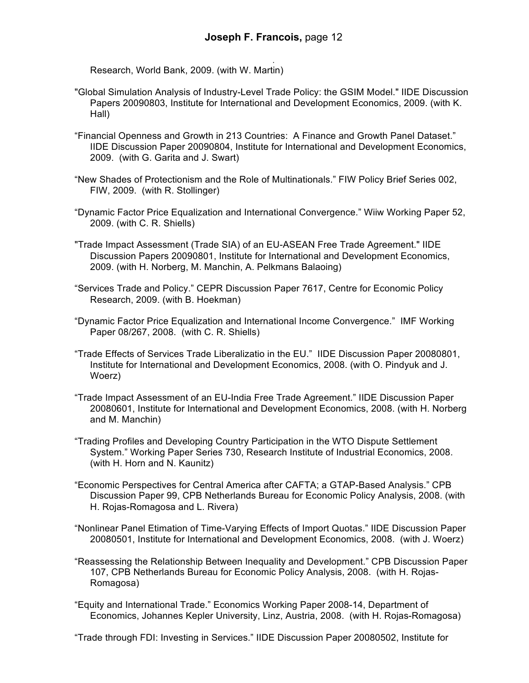. Research, World Bank, 2009. (with W. Martin)

- "Global Simulation Analysis of Industry-Level Trade Policy: the GSIM Model." IIDE Discussion Papers 20090803, Institute for International and Development Economics, 2009. (with K. Hall)
- "Financial Openness and Growth in 213 Countries: A Finance and Growth Panel Dataset." IIDE Discussion Paper 20090804, Institute for International and Development Economics, 2009. (with G. Garita and J. Swart)
- "New Shades of Protectionism and the Role of Multinationals." FIW Policy Brief Series 002, FIW, 2009. (with R. Stollinger)
- "Dynamic Factor Price Equalization and International Convergence." Wiiw Working Paper 52, 2009. (with C. R. Shiells)
- "Trade Impact Assessment (Trade SIA) of an EU-ASEAN Free Trade Agreement." IIDE Discussion Papers 20090801, Institute for International and Development Economics, 2009. (with H. Norberg, M. Manchin, A. Pelkmans Balaoing)
- "Services Trade and Policy." CEPR Discussion Paper 7617, Centre for Economic Policy Research, 2009. (with B. Hoekman)
- "Dynamic Factor Price Equalization and International Income Convergence." IMF Working Paper 08/267, 2008. (with C. R. Shiells)
- "Trade Effects of Services Trade Liberalizatio in the EU." IIDE Discussion Paper 20080801, Institute for International and Development Economics, 2008. (with O. Pindyuk and J. Woerz)
- "Trade Impact Assessment of an EU-India Free Trade Agreement." IIDE Discussion Paper 20080601, Institute for International and Development Economics, 2008. (with H. Norberg and M. Manchin)
- "Trading Profiles and Developing Country Participation in the WTO Dispute Settlement System." Working Paper Series 730, Research Institute of Industrial Economics, 2008. (with H. Horn and N. Kaunitz)
- "Economic Perspectives for Central America after CAFTA; a GTAP-Based Analysis." CPB Discussion Paper 99, CPB Netherlands Bureau for Economic Policy Analysis, 2008. (with H. Rojas-Romagosa and L. Rivera)
- "Nonlinear Panel Etimation of Time-Varying Effects of Import Quotas." IIDE Discussion Paper 20080501, Institute for International and Development Economics, 2008. (with J. Woerz)
- "Reassessing the Relationship Between Inequality and Development." CPB Discussion Paper 107, CPB Netherlands Bureau for Economic Policy Analysis, 2008. (with H. Rojas-Romagosa)
- "Equity and International Trade." Economics Working Paper 2008-14, Department of Economics, Johannes Kepler University, Linz, Austria, 2008. (with H. Rojas-Romagosa)

"Trade through FDI: Investing in Services." IIDE Discussion Paper 20080502, Institute for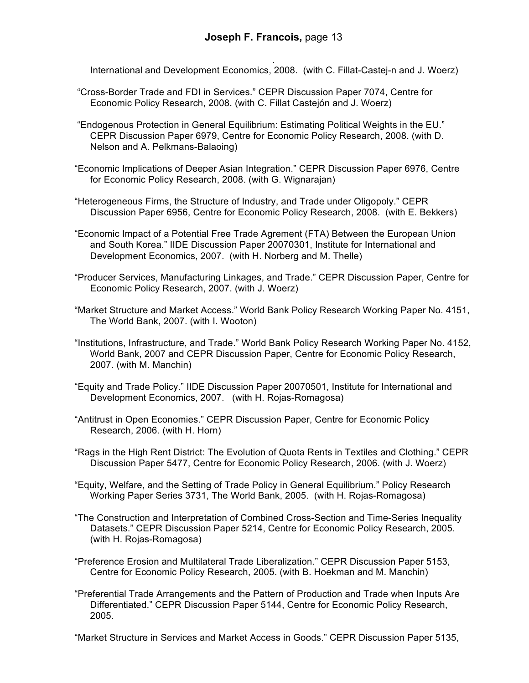. International and Development Economics, 2008. (with C. Fillat-Castej-n and J. Woerz)

- "Cross-Border Trade and FDI in Services." CEPR Discussion Paper 7074, Centre for Economic Policy Research, 2008. (with C. Fillat Castejón and J. Woerz)
- "Endogenous Protection in General Equilibrium: Estimating Political Weights in the EU." CEPR Discussion Paper 6979, Centre for Economic Policy Research, 2008. (with D. Nelson and A. Pelkmans-Balaoing)
- "Economic Implications of Deeper Asian Integration." CEPR Discussion Paper 6976, Centre for Economic Policy Research, 2008. (with G. Wignarajan)
- "Heterogeneous Firms, the Structure of Industry, and Trade under Oligopoly." CEPR Discussion Paper 6956, Centre for Economic Policy Research, 2008. (with E. Bekkers)
- "Economic Impact of a Potential Free Trade Agrement (FTA) Between the European Union and South Korea." IIDE Discussion Paper 20070301, Institute for International and Development Economics, 2007. (with H. Norberg and M. Thelle)
- "Producer Services, Manufacturing Linkages, and Trade." CEPR Discussion Paper, Centre for Economic Policy Research, 2007. (with J. Woerz)
- "Market Structure and Market Access." World Bank Policy Research Working Paper No. 4151, The World Bank, 2007. (with I. Wooton)
- "Institutions, Infrastructure, and Trade." World Bank Policy Research Working Paper No. 4152, World Bank, 2007 and CEPR Discussion Paper, Centre for Economic Policy Research, 2007. (with M. Manchin)
- "Equity and Trade Policy." IIDE Discussion Paper 20070501, Institute for International and Development Economics, 2007. (with H. Rojas-Romagosa)
- "Antitrust in Open Economies." CEPR Discussion Paper, Centre for Economic Policy Research, 2006. (with H. Horn)
- "Rags in the High Rent District: The Evolution of Quota Rents in Textiles and Clothing." CEPR Discussion Paper 5477, Centre for Economic Policy Research, 2006. (with J. Woerz)
- "Equity, Welfare, and the Setting of Trade Policy in General Equilibrium." Policy Research Working Paper Series 3731, The World Bank, 2005. (with H. Rojas-Romagosa)
- "The Construction and Interpretation of Combined Cross-Section and Time-Series Inequality Datasets." CEPR Discussion Paper 5214, Centre for Economic Policy Research, 2005. (with H. Rojas-Romagosa)
- "Preference Erosion and Multilateral Trade Liberalization." CEPR Discussion Paper 5153, Centre for Economic Policy Research, 2005. (with B. Hoekman and M. Manchin)
- "Preferential Trade Arrangements and the Pattern of Production and Trade when Inputs Are Differentiated." CEPR Discussion Paper 5144, Centre for Economic Policy Research, 2005.

"Market Structure in Services and Market Access in Goods." CEPR Discussion Paper 5135,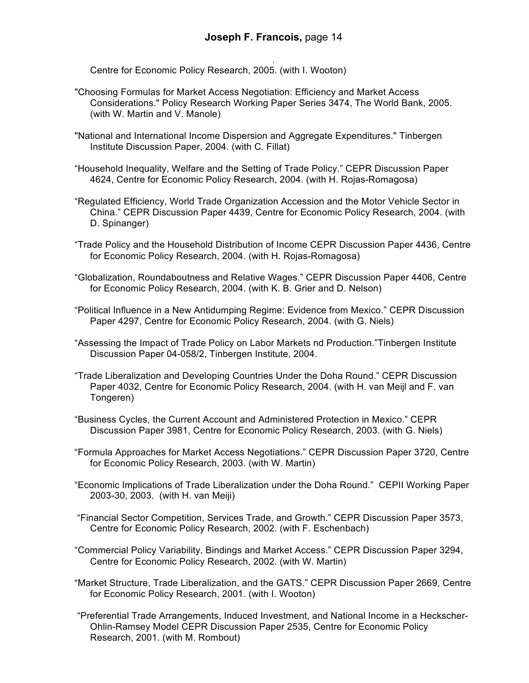. Centre for Economic Policy Research, 2005. (with I. Wooton)

- "Choosing Formulas for Market Access Negotiation: Efficiency and Market Access Considerations." Policy Research Working Paper Series 3474, The World Bank, 2005. (with W. Martin and V. Manole)
- "National and International Income Dispersion and Aggregate Expenditures." Tinbergen Institute Discussion Paper, 2004. (with C. Fillat)
- "Household Inequality, Welfare and the Setting of Trade Policy." CEPR Discussion Paper 4624, Centre for Economic Policy Research, 2004. (with H. Rojas-Romagosa)
- "Regulated Efficiency, World Trade Organization Accession and the Motor Vehicle Sector in China." CEPR Discussion Paper 4439, Centre for Economic Policy Research, 2004. (with D. Spinanger)
- "Trade Policy and the Household Distribution of Income CEPR Discussion Paper 4436, Centre for Economic Policy Research, 2004. (with H. Rojas-Romagosa)
- "Globalization, Roundaboutness and Relative Wages." CEPR Discussion Paper 4406, Centre for Economic Policy Research, 2004. (with K. B. Grier and D. Nelson)
- "Political Influence in a New Antidumping Regime: Evidence from Mexico." CEPR Discussion Paper 4297, Centre for Economic Policy Research, 2004. (with G. Niels)
- "Assessing the Impact of Trade Policy on Labor Markets nd Production."Tinbergen Institute Discussion Paper 04-058/2, Tinbergen Institute, 2004.
- "Trade Liberalization and Developing Countries Under the Doha Round." CEPR Discussion Paper 4032, Centre for Economic Policy Research, 2004. (with H. van Meijl and F. van Tongeren)
- "Business Cycles, the Current Account and Administered Protection in Mexico." CEPR Discussion Paper 3981, Centre for Economic Policy Research, 2003. (with G. Niels)
- "Formula Approaches for Market Access Negotiations." CEPR Discussion Paper 3720, Centre for Economic Policy Research, 2003. (with W. Martin)
- "Economic Implications of Trade Liberalization under the Doha Round." CEPII Working Paper 2003-30, 2003. (with H. van Meiji)
- "Financial Sector Competition, Services Trade, and Growth." CEPR Discussion Paper 3573, Centre for Economic Policy Research, 2002. (with F. Eschenbach)
- "Commercial Policy Variability, Bindings and Market Access." CEPR Discussion Paper 3294, Centre for Economic Policy Research, 2002. (with W. Martin)
- "Market Structure, Trade Liberalization, and the GATS." CEPR Discussion Paper 2669, Centre for Economic Policy Research, 2001. (with I. Wooton)
- "Preferential Trade Arrangements, Induced Investment, and National Income in a Heckscher-Ohlin-Ramsey Model CEPR Discussion Paper 2535, Centre for Economic Policy Research, 2001. (with M. Rombout)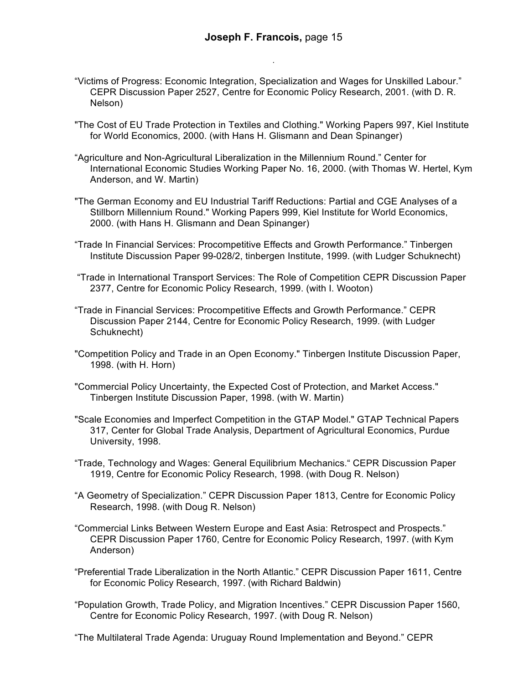- "Victims of Progress: Economic Integration, Specialization and Wages for Unskilled Labour." CEPR Discussion Paper 2527, Centre for Economic Policy Research, 2001. (with D. R. Nelson)
- "The Cost of EU Trade Protection in Textiles and Clothing." Working Papers 997, Kiel Institute for World Economics, 2000. (with Hans H. Glismann and Dean Spinanger)
- "Agriculture and Non-Agricultural Liberalization in the Millennium Round." Center for International Economic Studies Working Paper No. 16, 2000. (with Thomas W. Hertel, Kym Anderson, and W. Martin)
- "The German Economy and EU Industrial Tariff Reductions: Partial and CGE Analyses of a Stillborn Millennium Round." Working Papers 999, Kiel Institute for World Economics, 2000. (with Hans H. Glismann and Dean Spinanger)
- "Trade In Financial Services: Procompetitive Effects and Growth Performance." Tinbergen Institute Discussion Paper 99-028/2, tinbergen Institute, 1999. (with Ludger Schuknecht)
- "Trade in International Transport Services: The Role of Competition CEPR Discussion Paper 2377, Centre for Economic Policy Research, 1999. (with I. Wooton)
- "Trade in Financial Services: Procompetitive Effects and Growth Performance." CEPR Discussion Paper 2144, Centre for Economic Policy Research, 1999. (with Ludger Schuknecht)
- "Competition Policy and Trade in an Open Economy." Tinbergen Institute Discussion Paper, 1998. (with H. Horn)
- "Commercial Policy Uncertainty, the Expected Cost of Protection, and Market Access." Tinbergen Institute Discussion Paper, 1998. (with W. Martin)
- "Scale Economies and Imperfect Competition in the GTAP Model." GTAP Technical Papers 317, Center for Global Trade Analysis, Department of Agricultural Economics, Purdue University, 1998.
- "Trade, Technology and Wages: General Equilibrium Mechanics." CEPR Discussion Paper 1919, Centre for Economic Policy Research, 1998. (with Doug R. Nelson)
- "A Geometry of Specialization." CEPR Discussion Paper 1813, Centre for Economic Policy Research, 1998. (with Doug R. Nelson)
- "Commercial Links Between Western Europe and East Asia: Retrospect and Prospects." CEPR Discussion Paper 1760, Centre for Economic Policy Research, 1997. (with Kym Anderson)
- "Preferential Trade Liberalization in the North Atlantic." CEPR Discussion Paper 1611, Centre for Economic Policy Research, 1997. (with Richard Baldwin)
- "Population Growth, Trade Policy, and Migration Incentives." CEPR Discussion Paper 1560, Centre for Economic Policy Research, 1997. (with Doug R. Nelson)
- "The Multilateral Trade Agenda: Uruguay Round Implementation and Beyond." CEPR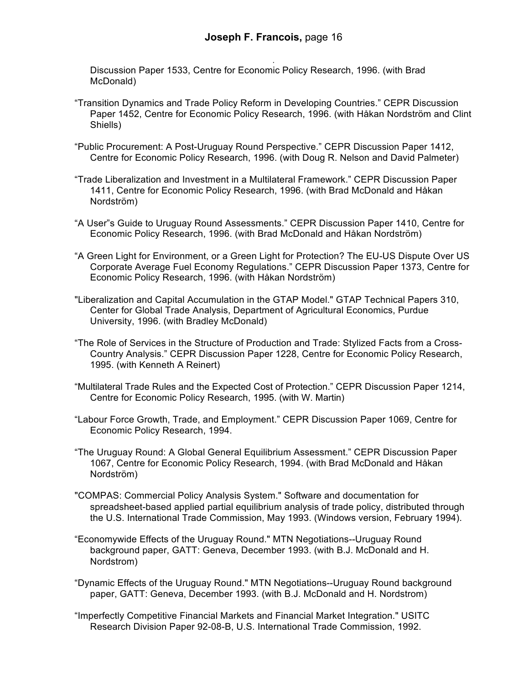. Discussion Paper 1533, Centre for Economic Policy Research, 1996. (with Brad McDonald)

- "Transition Dynamics and Trade Policy Reform in Developing Countries." CEPR Discussion Paper 1452, Centre for Economic Policy Research, 1996. (with Håkan Nordström and Clint Shiells)
- "Public Procurement: A Post-Uruguay Round Perspective." CEPR Discussion Paper 1412, Centre for Economic Policy Research, 1996. (with Doug R. Nelson and David Palmeter)
- "Trade Liberalization and Investment in a Multilateral Framework." CEPR Discussion Paper 1411, Centre for Economic Policy Research, 1996. (with Brad McDonald and Håkan Nordström)
- "A User"s Guide to Uruguay Round Assessments." CEPR Discussion Paper 1410, Centre for Economic Policy Research, 1996. (with Brad McDonald and Håkan Nordström)
- "A Green Light for Environment, or a Green Light for Protection? The EU-US Dispute Over US Corporate Average Fuel Economy Regulations." CEPR Discussion Paper 1373, Centre for Economic Policy Research, 1996. (with Håkan Nordström)
- "Liberalization and Capital Accumulation in the GTAP Model." GTAP Technical Papers 310, Center for Global Trade Analysis, Department of Agricultural Economics, Purdue University, 1996. (with Bradley McDonald)
- "The Role of Services in the Structure of Production and Trade: Stylized Facts from a Cross-Country Analysis." CEPR Discussion Paper 1228, Centre for Economic Policy Research, 1995. (with Kenneth A Reinert)
- "Multilateral Trade Rules and the Expected Cost of Protection." CEPR Discussion Paper 1214, Centre for Economic Policy Research, 1995. (with W. Martin)
- "Labour Force Growth, Trade, and Employment." CEPR Discussion Paper 1069, Centre for Economic Policy Research, 1994.
- "The Uruguay Round: A Global General Equilibrium Assessment." CEPR Discussion Paper 1067, Centre for Economic Policy Research, 1994. (with Brad McDonald and Håkan Nordström)
- "COMPAS: Commercial Policy Analysis System." Software and documentation for spreadsheet-based applied partial equilibrium analysis of trade policy, distributed through the U.S. International Trade Commission, May 1993. (Windows version, February 1994).
- "Economywide Effects of the Uruguay Round." MTN Negotiations--Uruguay Round background paper, GATT: Geneva, December 1993. (with B.J. McDonald and H. Nordstrom)
- "Dynamic Effects of the Uruguay Round." MTN Negotiations--Uruguay Round background paper, GATT: Geneva, December 1993. (with B.J. McDonald and H. Nordstrom)
- "Imperfectly Competitive Financial Markets and Financial Market Integration." USITC Research Division Paper 92-08-B, U.S. International Trade Commission, 1992.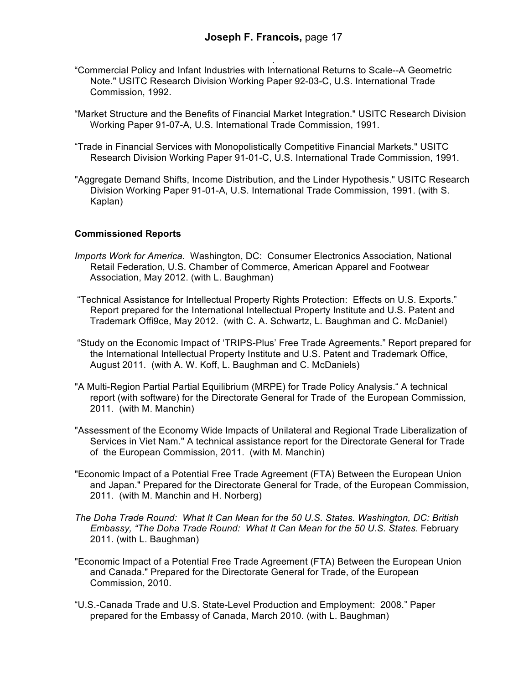- . "Commercial Policy and Infant Industries with International Returns to Scale--A Geometric Note." USITC Research Division Working Paper 92-03-C, U.S. International Trade Commission, 1992.
- "Market Structure and the Benefits of Financial Market Integration." USITC Research Division Working Paper 91-07-A, U.S. International Trade Commission, 1991.
- "Trade in Financial Services with Monopolistically Competitive Financial Markets." USITC Research Division Working Paper 91-01-C, U.S. International Trade Commission, 1991.
- "Aggregate Demand Shifts, Income Distribution, and the Linder Hypothesis." USITC Research Division Working Paper 91-01-A, U.S. International Trade Commission, 1991. (with S. Kaplan)

#### **Commissioned Reports**

- *Imports Work for America*. Washington, DC: Consumer Electronics Association, National Retail Federation, U.S. Chamber of Commerce, American Apparel and Footwear Association, May 2012. (with L. Baughman)
- "Technical Assistance for Intellectual Property Rights Protection: Effects on U.S. Exports." Report prepared for the International Intellectual Property Institute and U.S. Patent and Trademark Offi9ce, May 2012. (with C. A. Schwartz, L. Baughman and C. McDaniel)
- "Study on the Economic Impact of 'TRIPS-Plus' Free Trade Agreements." Report prepared for the International Intellectual Property Institute and U.S. Patent and Trademark Office, August 2011. (with A. W. Koff, L. Baughman and C. McDaniels)
- "A Multi-Region Partial Partial Equilibrium (MRPE) for Trade Policy Analysis." A technical report (with software) for the Directorate General for Trade of the European Commission, 2011. (with M. Manchin)
- "Assessment of the Economy Wide Impacts of Unilateral and Regional Trade Liberalization of Services in Viet Nam." A technical assistance report for the Directorate General for Trade of the European Commission, 2011. (with M. Manchin)
- "Economic Impact of a Potential Free Trade Agreement (FTA) Between the European Union and Japan." Prepared for the Directorate General for Trade, of the European Commission, 2011. (with M. Manchin and H. Norberg)
- *The Doha Trade Round: What It Can Mean for the 50 U.S. States. Washington, DC: British Embassy, "The Doha Trade Round: What It Can Mean for the 50 U.S. States*. February 2011. (with L. Baughman)
- "Economic Impact of a Potential Free Trade Agreement (FTA) Between the European Union and Canada." Prepared for the Directorate General for Trade, of the European Commission, 2010.
- "U.S.-Canada Trade and U.S. State-Level Production and Employment: 2008." Paper prepared for the Embassy of Canada, March 2010. (with L. Baughman)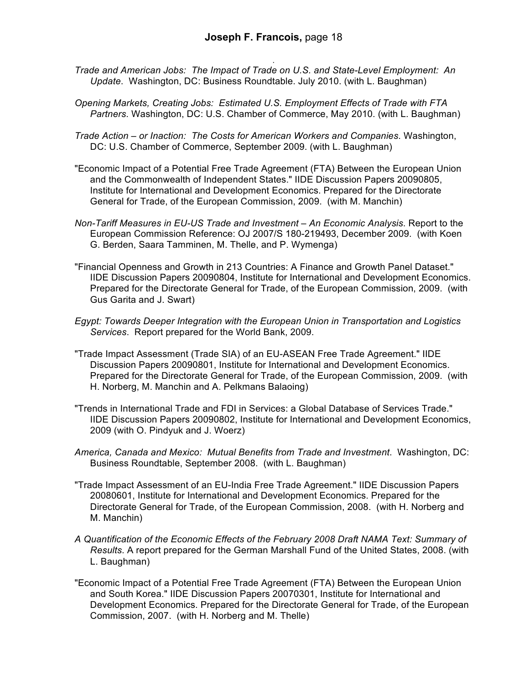- *Trade and American Jobs: The Impact of Trade on U.S. and State-Level Employment: An Update*. Washington, DC: Business Roundtable. July 2010. (with L. Baughman)
- *Opening Markets, Creating Jobs: Estimated U.S. Employment Effects of Trade with FTA Partners*. Washington, DC: U.S. Chamber of Commerce, May 2010. (with L. Baughman)
- *Trade Action – or Inaction: The Costs for American Workers and Companies*. Washington, DC: U.S. Chamber of Commerce, September 2009. (with L. Baughman)
- "Economic Impact of a Potential Free Trade Agreement (FTA) Between the European Union and the Commonwealth of Independent States." IIDE Discussion Papers 20090805, Institute for International and Development Economics. Prepared for the Directorate General for Trade, of the European Commission, 2009. (with M. Manchin)
- *Non-Tariff Measures in EU-US Trade and Investment – An Economic Analysis*. Report to the European Commission Reference: OJ 2007/S 180-219493, December 2009. (with Koen G. Berden, Saara Tamminen, M. Thelle, and P. Wymenga)
- "Financial Openness and Growth in 213 Countries: A Finance and Growth Panel Dataset." IIDE Discussion Papers 20090804, Institute for International and Development Economics. Prepared for the Directorate General for Trade, of the European Commission, 2009. (with Gus Garita and J. Swart)
- *Egypt: Towards Deeper Integration with the European Union in Transportation and Logistics Services*. Report prepared for the World Bank, 2009.
- "Trade Impact Assessment (Trade SIA) of an EU-ASEAN Free Trade Agreement." IIDE Discussion Papers 20090801, Institute for International and Development Economics. Prepared for the Directorate General for Trade, of the European Commission, 2009. (with H. Norberg, M. Manchin and A. Pelkmans Balaoing)
- "Trends in International Trade and FDI in Services: a Global Database of Services Trade." IIDE Discussion Papers 20090802, Institute for International and Development Economics, 2009 (with O. Pindyuk and J. Woerz)
- *America, Canada and Mexico: Mutual Benefits from Trade and Investment*. Washington, DC: Business Roundtable, September 2008. (with L. Baughman)
- "Trade Impact Assessment of an EU-India Free Trade Agreement." IIDE Discussion Papers 20080601, Institute for International and Development Economics. Prepared for the Directorate General for Trade, of the European Commission, 2008. (with H. Norberg and M. Manchin)
- *A Quantification of the Economic Effects of the February 2008 Draft NAMA Text: Summary of Results*. A report prepared for the German Marshall Fund of the United States, 2008. (with L. Baughman)
- "Economic Impact of a Potential Free Trade Agreement (FTA) Between the European Union and South Korea." IIDE Discussion Papers 20070301, Institute for International and Development Economics. Prepared for the Directorate General for Trade, of the European Commission, 2007. (with H. Norberg and M. Thelle)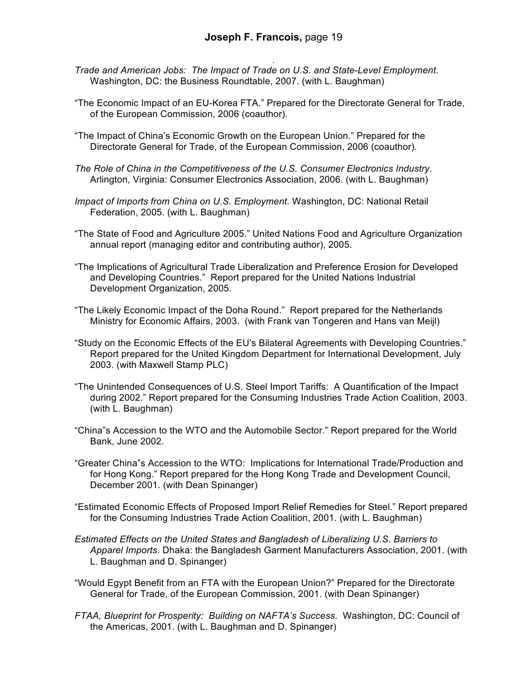- . *Trade and American Jobs: The Impact of Trade on U.S. and State-Level Employment*. Washington, DC: the Business Roundtable, 2007. (with L. Baughman)
- "The Economic Impact of an EU-Korea FTA." Prepared for the Directorate General for Trade, of the European Commission, 2006 (coauthor).
- "The Impact of China's Economic Growth on the European Union." Prepared for the Directorate General for Trade, of the European Commission, 2006 (coauthor).
- *The Role of China in the Competitiveness of the U.S. Consumer Electronics Industry*. Arlington, Virginia: Consumer Electronics Association, 2006. (with L. Baughman)
- *Impact of Imports from China on U.S. Employment*. Washington, DC: National Retail Federation, 2005. (with L. Baughman)
- "The State of Food and Agriculture 2005." United Nations Food and Agriculture Organization annual report (managing editor and contributing author), 2005.
- "The Implications of Agricultural Trade Liberalization and Preference Erosion for Developed and Developing Countries." Report prepared for the United Nations Industrial Development Organization, 2005.
- "The Likely Economic Impact of the Doha Round." Report prepared for the Netherlands Ministry for Economic Affairs, 2003. (with Frank van Tongeren and Hans van Meijl)
- "Study on the Economic Effects of the EU's Bilateral Agreements with Developing Countries." Report prepared for the United Kingdom Department for International Development, July 2003. (with Maxwell Stamp PLC)
- "The Unintended Consequences of U.S. Steel Import Tariffs: A Quantification of the Impact during 2002." Report prepared for the Consuming Industries Trade Action Coalition, 2003. (with L. Baughman)
- "China"s Accession to the WTO and the Automobile Sector." Report prepared for the World Bank, June 2002.
- "Greater China"s Accession to the WTO: Implications for International Trade/Production and for Hong Kong." Report prepared for the Hong Kong Trade and Development Council, December 2001. (with Dean Spinanger)
- "Estimated Economic Effects of Proposed Import Relief Remedies for Steel." Report prepared for the Consuming Industries Trade Action Coalition, 2001. (with L. Baughman)
- *Estimated Effects on the United States and Bangladesh of Liberalizing U.S. Barriers to Apparel Imports*. Dhaka: the Bangladesh Garment Manufacturers Association, 2001. (with L. Baughman and D. Spinanger)
- "Would Egypt Benefit from an FTA with the European Union?" Prepared for the Directorate General for Trade, of the European Commission, 2001. (with Dean Spinanger)
- *FTAA, Blueprint for Prosperity: Building on NAFTA's Success*. Washington, DC: Council of the Americas, 2001. (with L. Baughman and D. Spinanger)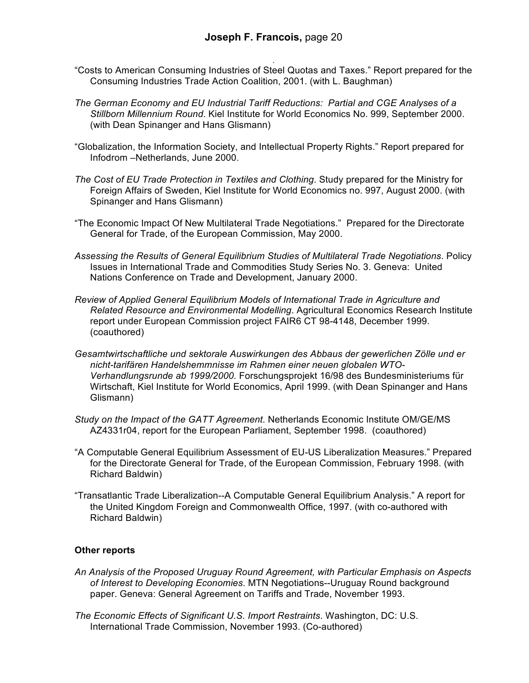- . "Costs to American Consuming Industries of Steel Quotas and Taxes." Report prepared for the Consuming Industries Trade Action Coalition, 2001. (with L. Baughman)
- *The German Economy and EU Industrial Tariff Reductions: Partial and CGE Analyses of a Stillborn Millennium Round*. Kiel Institute for World Economics No. 999, September 2000. (with Dean Spinanger and Hans Glismann)
- "Globalization, the Information Society, and Intellectual Property Rights." Report prepared for Infodrom –Netherlands, June 2000.
- *The Cost of EU Trade Protection in Textiles and Clothing*. Study prepared for the Ministry for Foreign Affairs of Sweden, Kiel Institute for World Economics no. 997, August 2000. (with Spinanger and Hans Glismann)
- "The Economic Impact Of New Multilateral Trade Negotiations." Prepared for the Directorate General for Trade, of the European Commission, May 2000.
- *Assessing the Results of General Equilibrium Studies of Multilateral Trade Negotiations*. Policy Issues in International Trade and Commodities Study Series No. 3. Geneva: United Nations Conference on Trade and Development, January 2000.
- *Review of Applied General Equilibrium Models of International Trade in Agriculture and Related Resource and Environmental Modelling*. Agricultural Economics Research Institute report under European Commission project FAIR6 CT 98-4148, December 1999. (coauthored)
- *Gesamtwirtschaftliche und sektorale Auswirkungen des Abbaus der gewerlichen Zölle und er nicht-tarifären Handelshemmnisse im Rahmen einer neuen globalen WTO-Verhandlungsrunde ab 1999/2000.* Forschungsprojekt 16/98 des Bundesministeriums für Wirtschaft, Kiel Institute for World Economics, April 1999. (with Dean Spinanger and Hans Glismann)
- *Study on the Impact of the GATT Agreement*. Netherlands Economic Institute OM/GE/MS AZ4331r04, report for the European Parliament, September 1998. (coauthored)
- "A Computable General Equilibrium Assessment of EU-US Liberalization Measures." Prepared for the Directorate General for Trade, of the European Commission, February 1998. (with Richard Baldwin)
- "Transatlantic Trade Liberalization--A Computable General Equilibrium Analysis." A report for the United Kingdom Foreign and Commonwealth Office, 1997. (with co-authored with Richard Baldwin)

#### **Other reports**

- *An Analysis of the Proposed Uruguay Round Agreement, with Particular Emphasis on Aspects of Interest to Developing Economies*. MTN Negotiations--Uruguay Round background paper. Geneva: General Agreement on Tariffs and Trade, November 1993.
- *The Economic Effects of Significant U.S. Import Restraints*. Washington, DC: U.S. International Trade Commission, November 1993. (Co-authored)